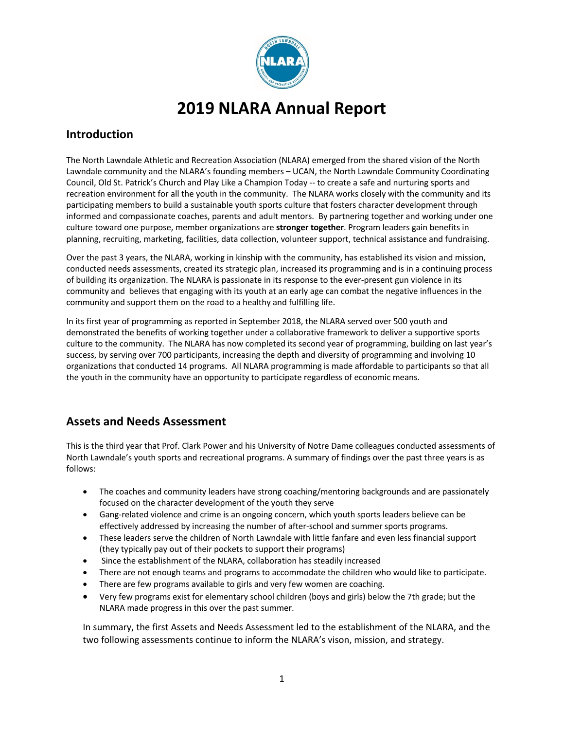

# **2019 NLARA Annual Report**

## **Introduction**

The North Lawndale Athletic and Recreation Association (NLARA) emerged from the shared vision of the North Lawndale community and the NLARA's founding members – UCAN, the North Lawndale Community Coordinating Council, Old St. Patrick's Church and Play Like a Champion Today -- to create a safe and nurturing sports and recreation environment for all the youth in the community. The NLARA works closely with the community and its participating members to build a sustainable youth sports culture that fosters character development through informed and compassionate coaches, parents and adult mentors. By partnering together and working under one culture toward one purpose, member organizations are **stronger together**. Program leaders gain benefits in planning, recruiting, marketing, facilities, data collection, volunteer support, technical assistance and fundraising.

Over the past 3 years, the NLARA, working in kinship with the community, has established its vision and mission, conducted needs assessments, created its strategic plan, increased its programming and is in a continuing process of building its organization. The NLARA is passionate in its response to the ever-present gun violence in its community and believes that engaging with its youth at an early age can combat the negative influences in the community and support them on the road to a healthy and fulfilling life.

In its first year of programming as reported in September 2018, the NLARA served over 500 youth and demonstrated the benefits of working together under a collaborative framework to deliver a supportive sports culture to the community. The NLARA has now completed its second year of programming, building on last year's success, by serving over 700 participants, increasing the depth and diversity of programming and involving 10 organizations that conducted 14 programs. All NLARA programming is made affordable to participants so that all the youth in the community have an opportunity to participate regardless of economic means.

# **Assets and Needs Assessment**

This is the third year that Prof. Clark Power and his University of Notre Dame colleagues conducted assessments of North Lawndale's youth sports and recreational programs. A summary of findings over the past three years is as follows:

- The coaches and community leaders have strong coaching/mentoring backgrounds and are passionately focused on the character development of the youth they serve
- Gang-related violence and crime is an ongoing concern, which youth sports leaders believe can be effectively addressed by increasing the number of after-school and summer sports programs.
- These leaders serve the children of North Lawndale with little fanfare and even less financial support (they typically pay out of their pockets to support their programs)
- Since the establishment of the NLARA, collaboration has steadily increased
- There are not enough teams and programs to accommodate the children who would like to participate.
- There are few programs available to girls and very few women are coaching.
- Very few programs exist for elementary school children (boys and girls) below the 7th grade; but the NLARA made progress in this over the past summer.

In summary, the first Assets and Needs Assessment led to the establishment of the NLARA, and the two following assessments continue to inform the NLARA's vison, mission, and strategy.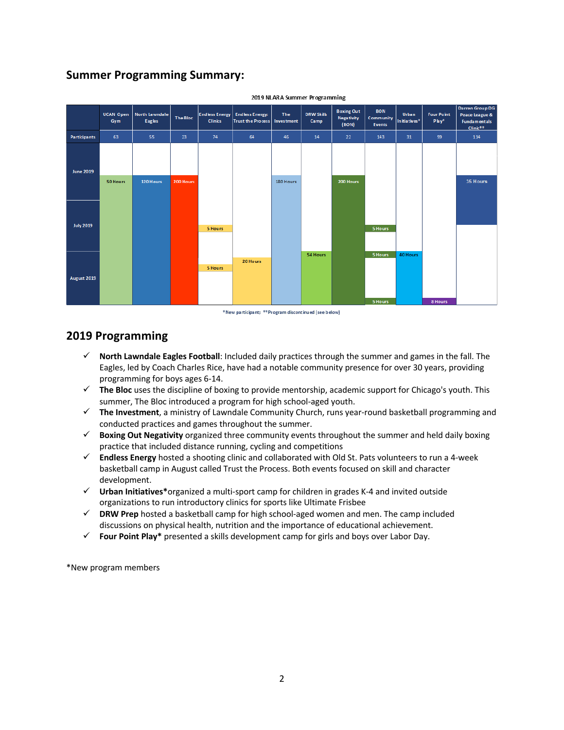# **Summer Programming Summary:**



2019 NLARA Summer Programming

\*New participant; \*\*Program discontinued (see below)

# **2019 Programming**

- $\checkmark$  North Lawndale Eagles Football: Included daily practices through the summer and games in the fall. The Eagles, led by Coach Charles Rice, have had a notable community presence for over 30 years, providing programming for boys ages 6-14.
- $\checkmark$  The Bloc uses the discipline of boxing to provide mentorship, academic support for Chicago's youth. This summer, The Bloc introduced a program for high school-aged youth.
- $\checkmark$  The Investment, a ministry of Lawndale Community Church, runs year-round basketball programming and conducted practices and games throughout the summer.
- ü **Boxing Out Negativity** organized three community events throughout the summer and held daily boxing practice that included distance running, cycling and competitions
- ü **Endless Energy** hosted a shooting clinic and collaborated with Old St. Pats volunteers to run a 4-week basketball camp in August called Trust the Process. Both events focused on skill and character development.
- ü **Urban Initiatives\***organized a multi-sport camp for children in grades K-4 and invited outside organizations to run introductory clinics for sports like Ultimate Frisbee
- $\checkmark$  DRW Prep hosted a basketball camp for high school-aged women and men. The camp included discussions on physical health, nutrition and the importance of educational achievement.
- ü **Four Point Play\*** presented a skills development camp for girls and boys over Labor Day.

\*New program members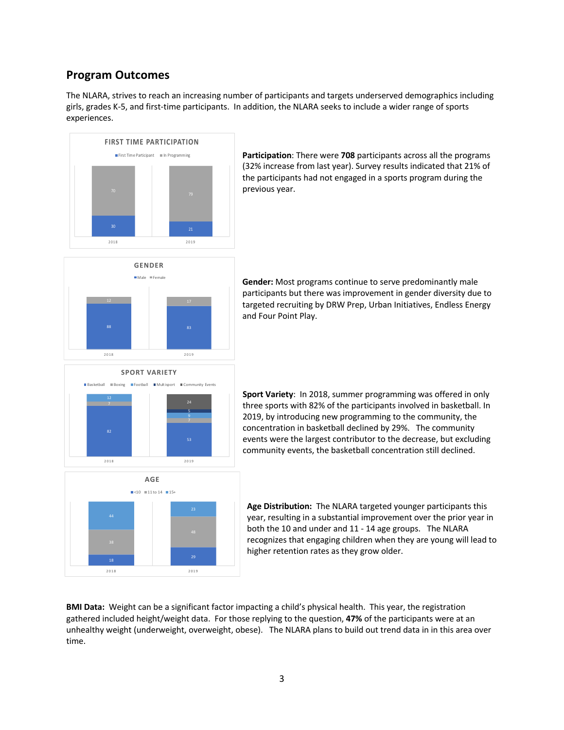### **Program Outcomes**

The NLARA, strives to reach an increasing number of participants and targets underserved demographics including girls, grades K-5, and first-time participants. In addition, the NLARA seeks to include a wider range of sports experiences.



**Participation**: There were **708** participants across all the programs (32% increase from last year). Survey results indicated that 21% of the participants had not engaged in a sports program during the previous year.



**Gender:** Most programs continue to serve predominantly male participants but there was improvement in gender diversity due to targeted recruiting by DRW Prep, Urban Initiatives, Endless Energy and Four Point Play.





**Sport Variety**: In 2018, summer programming was offered in only three sports with 82% of the participants involved in basketball. In 2019, by introducing new programming to the community, the concentration in basketball declined by 29%. The community events were the largest contributor to the decrease, but excluding community events, the basketball concentration still declined.

**Age Distribution:** The NLARA targeted younger participants this year, resulting in a substantial improvement over the prior year in both the 10 and under and 11 - 14 age groups. The NLARA recognizes that engaging children when they are young will lead to higher retention rates as they grow older.

**BMI Data:** Weight can be a significant factor impacting a child's physical health. This year, the registration gathered included height/weight data. For those replying to the question, **47%** of the participants were at an unhealthy weight (underweight, overweight, obese). The NLARA plans to build out trend data in in this area over time.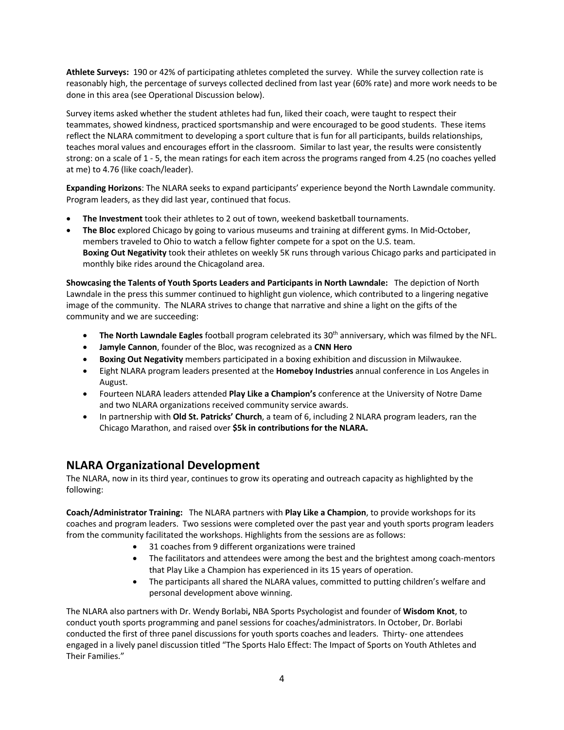**Athlete Surveys:** 190 or 42% of participating athletes completed the survey. While the survey collection rate is reasonably high, the percentage of surveys collected declined from last year (60% rate) and more work needs to be done in this area (see Operational Discussion below).

Survey items asked whether the student athletes had fun, liked their coach, were taught to respect their teammates, showed kindness, practiced sportsmanship and were encouraged to be good students. These items reflect the NLARA commitment to developing a sport culture that is fun for all participants, builds relationships, teaches moral values and encourages effort in the classroom. Similar to last year, the results were consistently strong: on a scale of 1 - 5, the mean ratings for each item across the programs ranged from 4.25 (no coaches yelled at me) to 4.76 (like coach/leader).

**Expanding Horizons**: The NLARA seeks to expand participants' experience beyond the North Lawndale community. Program leaders, as they did last year, continued that focus.

- **The Investment** took their athletes to 2 out of town, weekend basketball tournaments.
- **The Bloc** explored Chicago by going to various museums and training at different gyms. In Mid-October, members traveled to Ohio to watch a fellow fighter compete for a spot on the U.S. team. **Boxing Out Negativity** took their athletes on weekly 5K runs through various Chicago parks and participated in monthly bike rides around the Chicagoland area.

**Showcasing the Talents of Youth Sports Leaders and Participants in North Lawndale:** The depiction of North Lawndale in the press this summer continued to highlight gun violence, which contributed to a lingering negative image of the community. The NLARA strives to change that narrative and shine a light on the gifts of the community and we are succeeding:

- **The North Lawndale Eagles** football program celebrated its 30th anniversary, which was filmed by the NFL.
- **Jamyle Cannon**, founder of the Bloc, was recognized as a **CNN Hero**
- **Boxing Out Negativity** members participated in a boxing exhibition and discussion in Milwaukee.
- Eight NLARA program leaders presented at the **Homeboy Industries** annual conference in Los Angeles in August.
- Fourteen NLARA leaders attended **Play Like a Champion's** conference at the University of Notre Dame and two NLARA organizations received community service awards.
- In partnership with **Old St. Patricks' Church**, a team of 6, including 2 NLARA program leaders, ran the Chicago Marathon, and raised over **\$5k in contributions for the NLARA.**

# **NLARA Organizational Development**

The NLARA, now in its third year, continues to grow its operating and outreach capacity as highlighted by the following:

**Coach/Administrator Training:** The NLARA partners with **Play Like a Champion**, to provide workshops for its coaches and program leaders. Two sessions were completed over the past year and youth sports program leaders from the community facilitated the workshops. Highlights from the sessions are as follows:

- 31 coaches from 9 different organizations were trained
- The facilitators and attendees were among the best and the brightest among coach-mentors that Play Like a Champion has experienced in its 15 years of operation.
- The participants all shared the NLARA values, committed to putting children's welfare and personal development above winning.

The NLARA also partners with Dr. Wendy Borlabi**,** NBA Sports Psychologist and founder of **Wisdom Knot**, to conduct youth sports programming and panel sessions for coaches/administrators. In October, Dr. Borlabi conducted the first of three panel discussions for youth sports coaches and leaders. Thirty- one attendees engaged in a lively panel discussion titled "The Sports Halo Effect: The Impact of Sports on Youth Athletes and Their Families."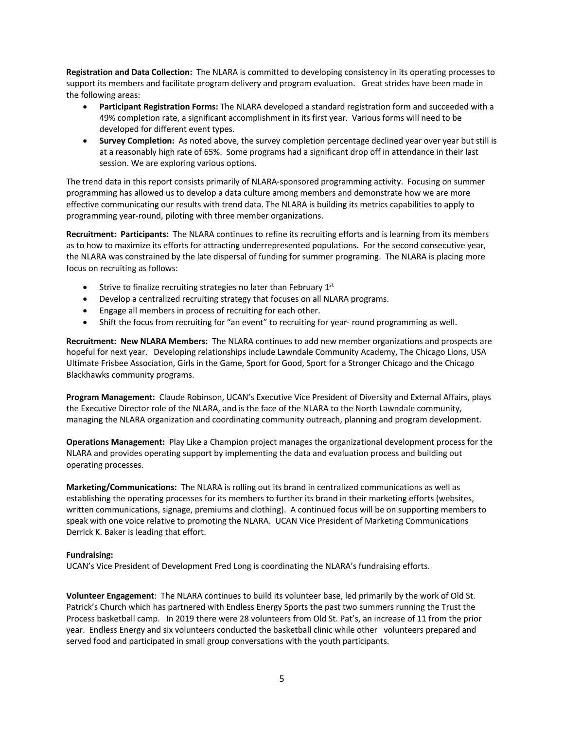**Registration and Data Collection:** The NLARA is committed to developing consistency in its operating processes to support its members and facilitate program delivery and program evaluation. Great strides have been made in the following areas:

- **Participant Registration Forms:** The NLARA developed a standard registration form and succeeded with a 49% completion rate, a significant accomplishment in its first year. Various forms will need to be developed for different event types.
- **Survey Completion:** As noted above, the survey completion percentage declined year over year but still is at a reasonably high rate of 65%. Some programs had a significant drop off in attendance in their last session. We are exploring various options.

The trend data in this report consists primarily of NLARA-sponsored programming activity. Focusing on summer programming has allowed us to develop a data culture among members and demonstrate how we are more effective communicating our results with trend data. The NLARA is building its metrics capabilities to apply to programming year-round, piloting with three member organizations.

**Recruitment: Participants:** The NLARA continues to refine its recruiting efforts and is learning from its members as to how to maximize its efforts for attracting underrepresented populations. For the second consecutive year, the NLARA was constrained by the late dispersal of funding for summer programing. The NLARA is placing more focus on recruiting as follows:

- Strive to finalize recruiting strategies no later than February  $1<sup>st</sup>$
- Develop a centralized recruiting strategy that focuses on all NLARA programs.
- Engage all members in process of recruiting for each other.
- Shift the focus from recruiting for "an event" to recruiting for year- round programming as well.

**Recruitment: New NLARA Members:** The NLARA continues to add new member organizations and prospects are hopeful for next year. Developing relationships include Lawndale Community Academy, The Chicago Lions, USA Ultimate Frisbee Association, Girls in the Game, Sport for Good, Sport for a Stronger Chicago and the Chicago Blackhawks community programs.

**Program Management:** Claude Robinson, UCAN's Executive Vice President of Diversity and External Affairs, plays the Executive Director role of the NLARA, and is the face of the NLARA to the North Lawndale community, managing the NLARA organization and coordinating community outreach, planning and program development.

**Operations Management:** Play Like a Champion project manages the organizational development process for the NLARA and provides operating support by implementing the data and evaluation process and building out operating processes.

**Marketing/Communications:** The NLARA is rolling out its brand in centralized communications as well as establishing the operating processes for its members to further its brand in their marketing efforts (websites, written communications, signage, premiums and clothing). A continued focus will be on supporting members to speak with one voice relative to promoting the NLARA. UCAN Vice President of Marketing Communications Derrick K. Baker is leading that effort.

#### **Fundraising:**

UCAN's Vice President of Development Fred Long is coordinating the NLARA's fundraising efforts.

**Volunteer Engagement**: The NLARA continues to build its volunteer base, led primarily by the work of Old St. Patrick's Church which has partnered with Endless Energy Sports the past two summers running the Trust the Process basketball camp. In 2019 there were 28 volunteers from Old St. Pat's, an increase of 11 from the prior year. Endless Energy and six volunteers conducted the basketball clinic while other volunteers prepared and served food and participated in small group conversations with the youth participants.